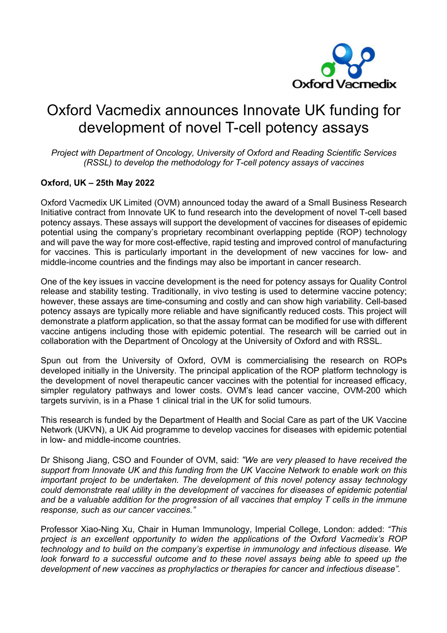

## Oxford Vacmedix announces Innovate UK funding for development of novel T-cell potency assays

*Project with Department of Oncology, University of Oxford and Reading Scientific Services (RSSL) to develop the methodology for T-cell potency assays of vaccines*

## **Oxford, UK – 25th May 2022**

Oxford Vacmedix UK Limited (OVM) announced today the award of a Small Business Research Initiative contract from Innovate UK to fund research into the development of novel T-cell based potency assays. These assays will support the development of vaccines for diseases of epidemic potential using the company's proprietary recombinant overlapping peptide (ROP) technology and will pave the way for more cost-effective, rapid testing and improved control of manufacturing for vaccines. This is particularly important in the development of new vaccines for low- and middle-income countries and the findings may also be important in cancer research.

One of the key issues in vaccine development is the need for potency assays for Quality Control release and stability testing. Traditionally, in vivo testing is used to determine vaccine potency; however, these assays are time-consuming and costly and can show high variability. Cell-based potency assays are typically more reliable and have significantly reduced costs. This project will demonstrate a platform application, so that the assay format can be modified for use with different vaccine antigens including those with epidemic potential. The research will be carried out in collaboration with the Department of Oncology at the University of Oxford and with RSSL.

Spun out from the University of Oxford, OVM is commercialising the research on ROPs developed initially in the University. The principal application of the ROP platform technology is the development of novel therapeutic cancer vaccines with the potential for increased efficacy, simpler regulatory pathways and lower costs. OVM's lead cancer vaccine, OVM-200 which targets survivin, is in a Phase 1 clinical trial in the UK for solid tumours.

This research is funded by the Department of Health and Social Care as part of the UK Vaccine Network (UKVN), a UK Aid programme to develop vaccines for diseases with epidemic potential in low- and middle-income countries.

Dr Shisong Jiang, CSO and Founder of OVM, said: *"We are very pleased to have received the support from Innovate UK and this funding from the UK Vaccine Network to enable work on this important project to be undertaken. The development of this novel potency assay technology could demonstrate real utility in the development of vaccines for diseases of epidemic potential and be a valuable addition for the progression of all vaccines that employ T cells in the immune response, such as our cancer vaccines."*

Professor Xiao-Ning Xu, Chair in Human Immunology, Imperial College, London: added: *"This project is an excellent opportunity to widen the applications of the Oxford Vacmedix's ROP technology and to build on the company's expertise in immunology and infectious disease. We look forward to a successful outcome and to these novel assays being able to speed up the development of new vaccines as prophylactics or therapies for cancer and infectious disease".*